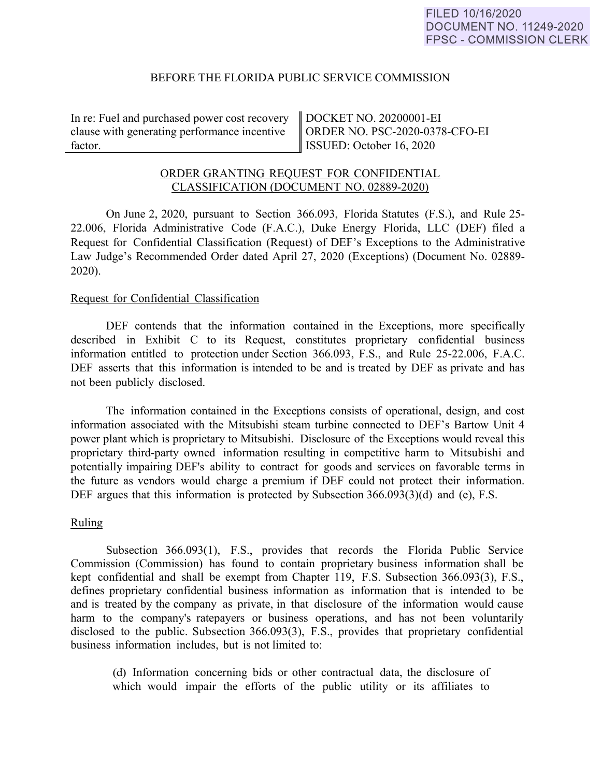# BEFORE THE FLORIDA PUBLIC SERVICE COMMISSION

In re: Fuel and purchased power cost recovery clause with generating performance incentive factor.

DOCKET NO. 20200001-EI ORDER NO. PSC-2020-0378-CFO-EI ISSUED: October 16, 2020

# ORDER GRANTING REQUEST FOR CONFIDENTIAL CLASSIFICATION (DOCUMENT NO. 02889-2020)

On June 2, 2020, pursuant to Section 366.093, Florida Statutes (F.S.), and Rule 25- 22.006, Florida Administrative Code (F.A.C.), Duke Energy Florida, LLC (DEF) filed a Request for Confidential Classification (Request) of DEF's Exceptions to the Administrative Law Judge's Recommended Order dated April 27, 2020 (Exceptions) (Document No. 02889- 2020).

### Request for Confidential Classification

DEF contends that the information contained in the Exceptions, more specifically described in Exhibit C to its Request, constitutes proprietary confidential business information entitled to protection under Section 366.093, F.S., and Rule 25-22.006, F.A.C. DEF asserts that this information is intended to be and is treated by DEF as private and has not been publicly disclosed.

The information contained in the Exceptions consists of operational, design, and cost information associated with the Mitsubishi steam turbine connected to DEF's Bartow Unit 4 power plant which is proprietary to Mitsubishi. Disclosure of the Exceptions would reveal this proprietary third-party owned information resulting in competitive harm to Mitsubishi and potentially impairing DEF's ability to contract for goods and services on favorable terms in the future as vendors would charge a premium if DEF could not protect their information. DEF argues that this information is protected by Subsection 366.093(3)(d) and (e), F.S.

### Ruling

Subsection 366.093(1), F.S., provides that records the Florida Public Service Commission (Commission) has found to contain proprietary business information shall be kept confidential and shall be exempt from Chapter 119, F.S. Subsection 366.093(3), F.S., defines proprietary confidential business information as information that is intended to be and is treated by the company as private, in that disclosure of the information would cause harm to the company's ratepayers or business operations, and has not been voluntarily disclosed to the public. Subsection 366.093(3), F.S., provides that proprietary confidential business information includes, but is not limited to:

(d) Information concerning bids or other contractual data, the disclosure of which would impair the efforts of the public utility or its affiliates to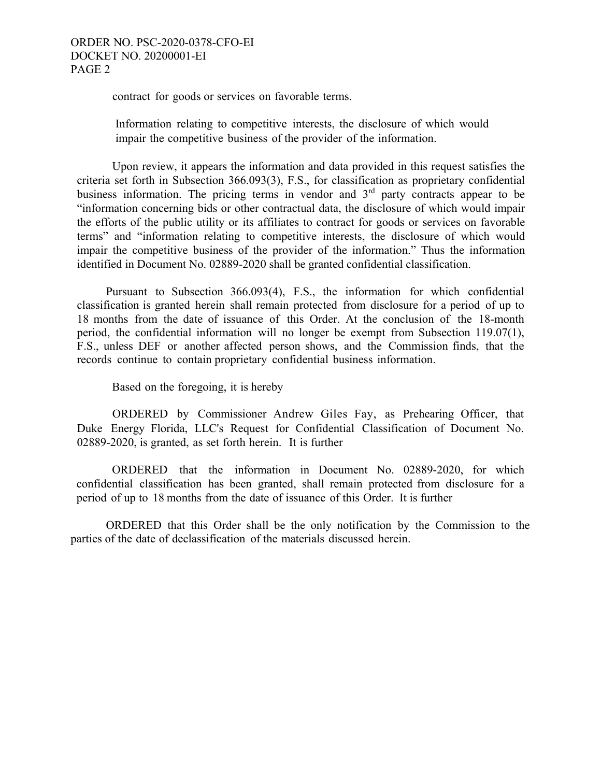contract for goods or services on favorable terms.

Information relating to competitive interests, the disclosure of which would impair the competitive business of the provider of the information.

Upon review, it appears the information and data provided in this request satisfies the criteria set forth in Subsection 366.093(3), F.S., for classification as proprietary confidential business information. The pricing terms in vendor and  $3<sup>rd</sup>$  party contracts appear to be "information concerning bids or other contractual data, the disclosure of which would impair the efforts of the public utility or its affiliates to contract for goods or services on favorable terms" and "information relating to competitive interests, the disclosure of which would impair the competitive business of the provider of the information." Thus the information identified in Document No. 02889-2020 shall be granted confidential classification.

 Pursuant to Subsection 366.093(4), F.S., the information for which confidential classification is granted herein shall remain protected from disclosure for a period of up to 18 months from the date of issuance of this Order. At the conclusion of the 18-month period, the confidential information will no longer be exempt from Subsection 119.07(1), F.S., unless DEF or another affected person shows, and the Commission finds, that the records continue to contain proprietary confidential business information.

Based on the foregoing, it is hereby

ORDERED by Commissioner Andrew Giles Fay, as Prehearing Officer, that Duke Energy Florida, LLC's Request for Confidential Classification of Document No. 02889-2020, is granted, as set forth herein. It is further

ORDERED that the information in Document No. 02889-2020, for which confidential classification has been granted, shall remain protected from disclosure for a period of up to 18 months from the date of issuance of this Order. It is further

 ORDERED that this Order shall be the only notification by the Commission to the parties of the date of declassification of the materials discussed herein.